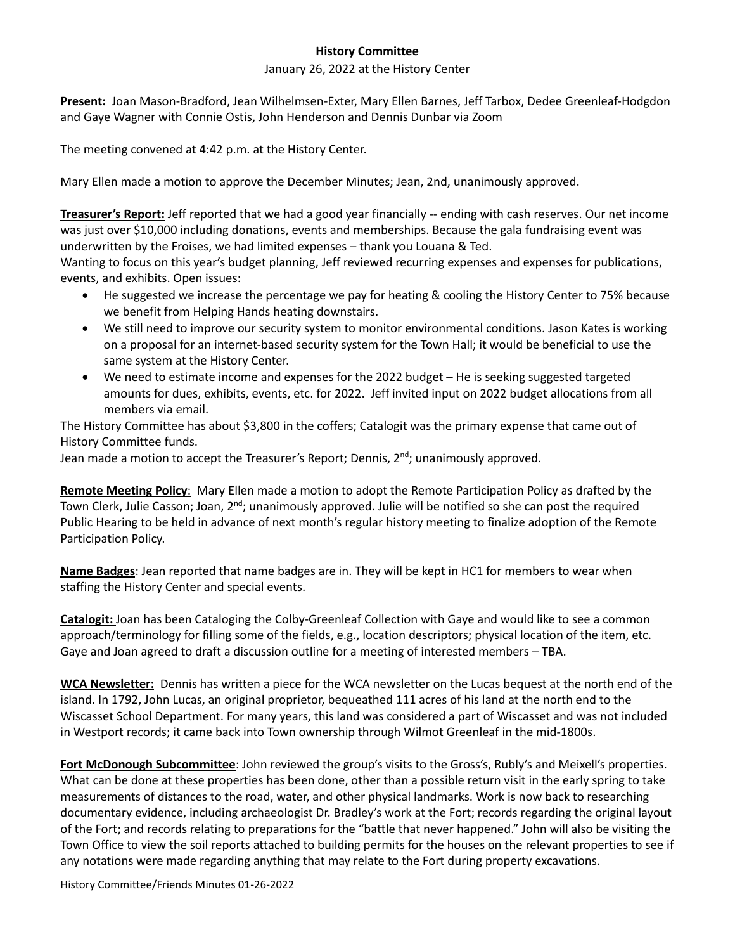## **History Committee**

## January 26, 2022 at the History Center

**Present:** Joan Mason-Bradford, Jean Wilhelmsen-Exter, Mary Ellen Barnes, Jeff Tarbox, Dedee Greenleaf-Hodgdon and Gaye Wagner with Connie Ostis, John Henderson and Dennis Dunbar via Zoom

The meeting convened at 4:42 p.m. at the History Center.

Mary Ellen made a motion to approve the December Minutes; Jean, 2nd, unanimously approved.

**Treasurer's Report:** Jeff reported that we had a good year financially -- ending with cash reserves. Our net income was just over \$10,000 including donations, events and memberships. Because the gala fundraising event was underwritten by the Froises, we had limited expenses – thank you Louana & Ted.

Wanting to focus on this year's budget planning, Jeff reviewed recurring expenses and expenses for publications, events, and exhibits. Open issues:

- He suggested we increase the percentage we pay for heating & cooling the History Center to 75% because we benefit from Helping Hands heating downstairs.
- We still need to improve our security system to monitor environmental conditions. Jason Kates is working on a proposal for an internet-based security system for the Town Hall; it would be beneficial to use the same system at the History Center.
- We need to estimate income and expenses for the 2022 budget He is seeking suggested targeted amounts for dues, exhibits, events, etc. for 2022. Jeff invited input on 2022 budget allocations from all members via email.

The History Committee has about \$3,800 in the coffers; Catalogit was the primary expense that came out of History Committee funds.

Jean made a motion to accept the Treasurer's Report; Dennis,  $2<sup>nd</sup>$ ; unanimously approved.

**Remote Meeting Policy**: Mary Ellen made a motion to adopt the Remote Participation Policy as drafted by the Town Clerk, Julie Casson; Joan, 2<sup>nd</sup>; unanimously approved. Julie will be notified so she can post the required Public Hearing to be held in advance of next month's regular history meeting to finalize adoption of the Remote Participation Policy.

**Name Badges**: Jean reported that name badges are in. They will be kept in HC1 for members to wear when staffing the History Center and special events.

**Catalogit:** Joan has been Cataloging the Colby-Greenleaf Collection with Gaye and would like to see a common approach/terminology for filling some of the fields, e.g., location descriptors; physical location of the item, etc. Gaye and Joan agreed to draft a discussion outline for a meeting of interested members – TBA.

**WCA Newsletter:** Dennis has written a piece for the WCA newsletter on the Lucas bequest at the north end of the island. In 1792, John Lucas, an original proprietor, bequeathed 111 acres of his land at the north end to the Wiscasset School Department. For many years, this land was considered a part of Wiscasset and was not included in Westport records; it came back into Town ownership through Wilmot Greenleaf in the mid-1800s.

**Fort McDonough Subcommittee**: John reviewed the group's visits to the Gross's, Rubly's and Meixell's properties. What can be done at these properties has been done, other than a possible return visit in the early spring to take measurements of distances to the road, water, and other physical landmarks. Work is now back to researching documentary evidence, including archaeologist Dr. Bradley's work at the Fort; records regarding the original layout of the Fort; and records relating to preparations for the "battle that never happened." John will also be visiting the Town Office to view the soil reports attached to building permits for the houses on the relevant properties to see if any notations were made regarding anything that may relate to the Fort during property excavations.

History Committee/Friends Minutes 01-26-2022